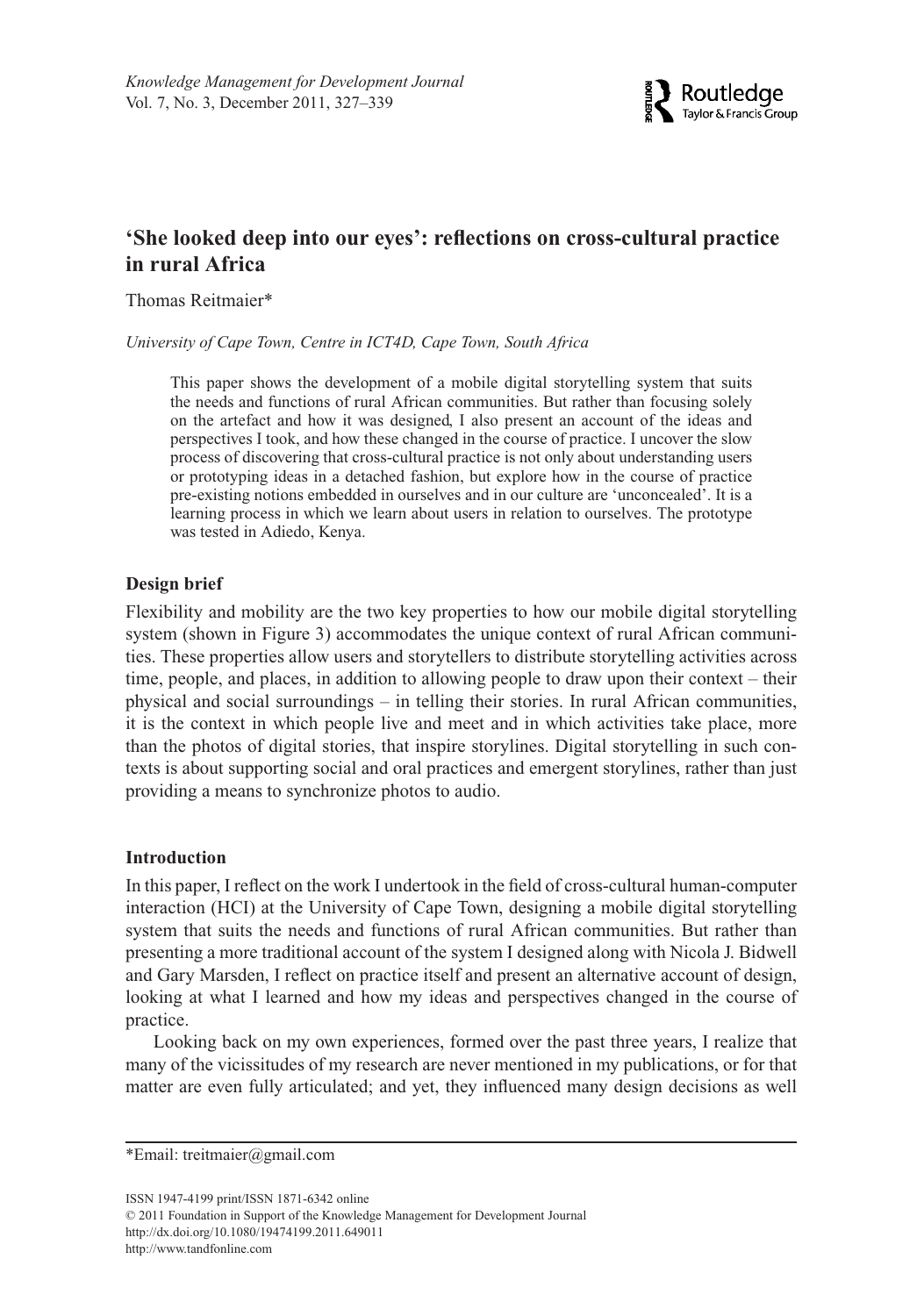

# **'She looked deep into our eyes': reflections on cross-cultural practice in rural Africa**

Thomas Reitmaier\*

*University of Cape Town, Centre in ICT4D, Cape Town, South Africa*

This paper shows the development of a mobile digital storytelling system that suits the needs and functions of rural African communities. But rather than focusing solely on the artefact and how it was designed, I also present an account of the ideas and perspectives I took, and how these changed in the course of practice. I uncover the slow process of discovering that cross-cultural practice is not only about understanding users or prototyping ideas in a detached fashion, but explore how in the course of practice pre-existing notions embedded in ourselves and in our culture are 'unconcealed'. It is a learning process in which we learn about users in relation to ourselves. The prototype was tested in Adiedo, Kenya.

## **Design brief**

Flexibility and mobility are the two key properties to how our mobile digital storytelling system (shown in Figure 3) accommodates the unique context of rural African communities. These properties allow users and storytellers to distribute storytelling activities across time, people, and places, in addition to allowing people to draw upon their context – their physical and social surroundings – in telling their stories. In rural African communities, it is the context in which people live and meet and in which activities take place, more than the photos of digital stories, that inspire storylines. Digital storytelling in such contexts is about supporting social and oral practices and emergent storylines, rather than just providing a means to synchronize photos to audio.

### **Introduction**

In this paper, I reflect on the work I undertook in the field of cross-cultural human-computer interaction (HCI) at the University of Cape Town, designing a mobile digital storytelling system that suits the needs and functions of rural African communities. But rather than presenting a more traditional account of the system I designed along with Nicola J. Bidwell and Gary Marsden, I reflect on practice itself and present an alternative account of design, looking at what I learned and how my ideas and perspectives changed in the course of practice.

Looking back on my own experiences, formed over the past three years, I realize that many of the vicissitudes of my research are never mentioned in my publications, or for that matter are even fully articulated; and yet, they influenced many design decisions as well

\*Email: [treitmaier@gmail.com](mailto:treitmaier@gmail.com)

ISSN 1947-4199 print/ISSN 1871-6342 online

© 2011 Foundation in Support of the Knowledge Management for Development Journal <http://dx.doi.org/10.1080/19474199.2011.649011> <http://www.tandfonline.com>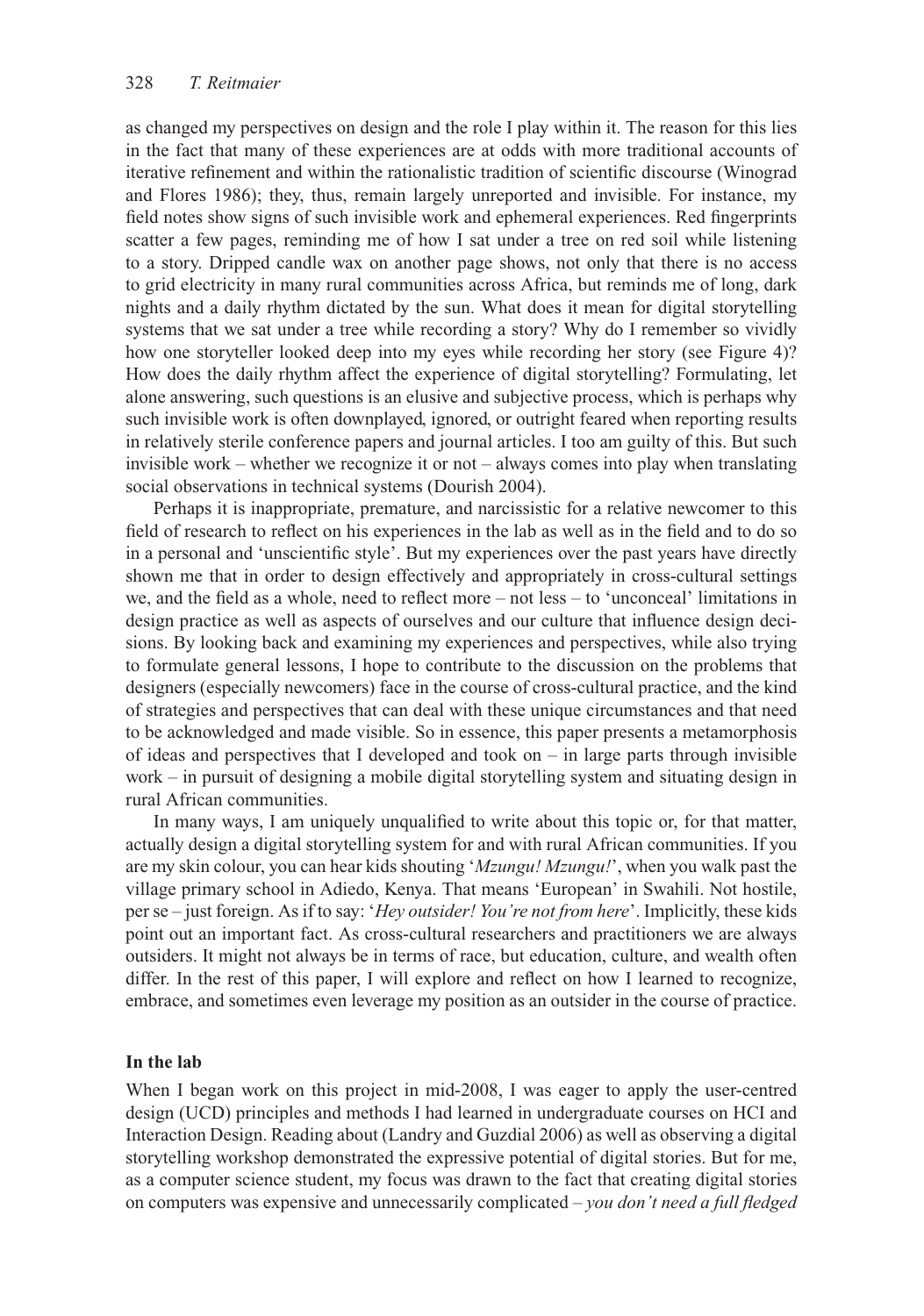as changed my perspectives on design and the role I play within it. The reason for this lies in the fact that many of these experiences are at odds with more traditional accounts of iterative refinement and within the rationalistic tradition of scientific discourse (Winograd and Flores 1986); they, thus, remain largely unreported and invisible. For instance, my field notes show signs of such invisible work and ephemeral experiences. Red fingerprints scatter a few pages, reminding me of how I sat under a tree on red soil while listening to a story. Dripped candle wax on another page shows, not only that there is no access to grid electricity in many rural communities across Africa, but reminds me of long, dark nights and a daily rhythm dictated by the sun. What does it mean for digital storytelling systems that we sat under a tree while recording a story? Why do I remember so vividly how one storyteller looked deep into my eyes while recording her story (see Figure 4)? How does the daily rhythm affect the experience of digital storytelling? Formulating, let alone answering, such questions is an elusive and subjective process, which is perhaps why such invisible work is often downplayed, ignored, or outright feared when reporting results in relatively sterile conference papers and journal articles. I too am guilty of this. But such invisible work – whether we recognize it or not – always comes into play when translating social observations in technical systems (Dourish 2004).

Perhaps it is inappropriate, premature, and narcissistic for a relative newcomer to this field of research to reflect on his experiences in the lab as well as in the field and to do so in a personal and 'unscientific style'. But my experiences over the past years have directly shown me that in order to design effectively and appropriately in cross-cultural settings we, and the field as a whole, need to reflect more – not less – to 'unconceal' limitations in design practice as well as aspects of ourselves and our culture that influence design decisions. By looking back and examining my experiences and perspectives, while also trying to formulate general lessons, I hope to contribute to the discussion on the problems that designers (especially newcomers) face in the course of cross-cultural practice, and the kind of strategies and perspectives that can deal with these unique circumstances and that need to be acknowledged and made visible. So in essence, this paper presents a metamorphosis of ideas and perspectives that I developed and took on  $-$  in large parts through invisible work – in pursuit of designing a mobile digital storytelling system and situating design in rural African communities.

In many ways, I am uniquely unqualified to write about this topic or, for that matter, actually design a digital storytelling system for and with rural African communities. If you are my skin colour, you can hear kids shouting '*Mzungu! Mzungu!*', when you walk past the village primary school in Adiedo, Kenya. That means 'European' in Swahili. Not hostile, per se – just foreign. As if to say: '*Hey outsider! You're not from here*'. Implicitly, these kids point out an important fact. As cross-cultural researchers and practitioners we are always outsiders. It might not always be in terms of race, but education, culture, and wealth often differ. In the rest of this paper, I will explore and reflect on how I learned to recognize, embrace, and sometimes even leverage my position as an outsider in the course of practice.

### **In the lab**

When I began work on this project in mid-2008, I was eager to apply the user-centred design (UCD) principles and methods I had learned in undergraduate courses on HCI and Interaction Design. Reading about (Landry and Guzdial 2006) as well as observing a digital storytelling workshop demonstrated the expressive potential of digital stories. But for me, as a computer science student, my focus was drawn to the fact that creating digital stories on computers was expensive and unnecessarily complicated – *you don't need a full fledged*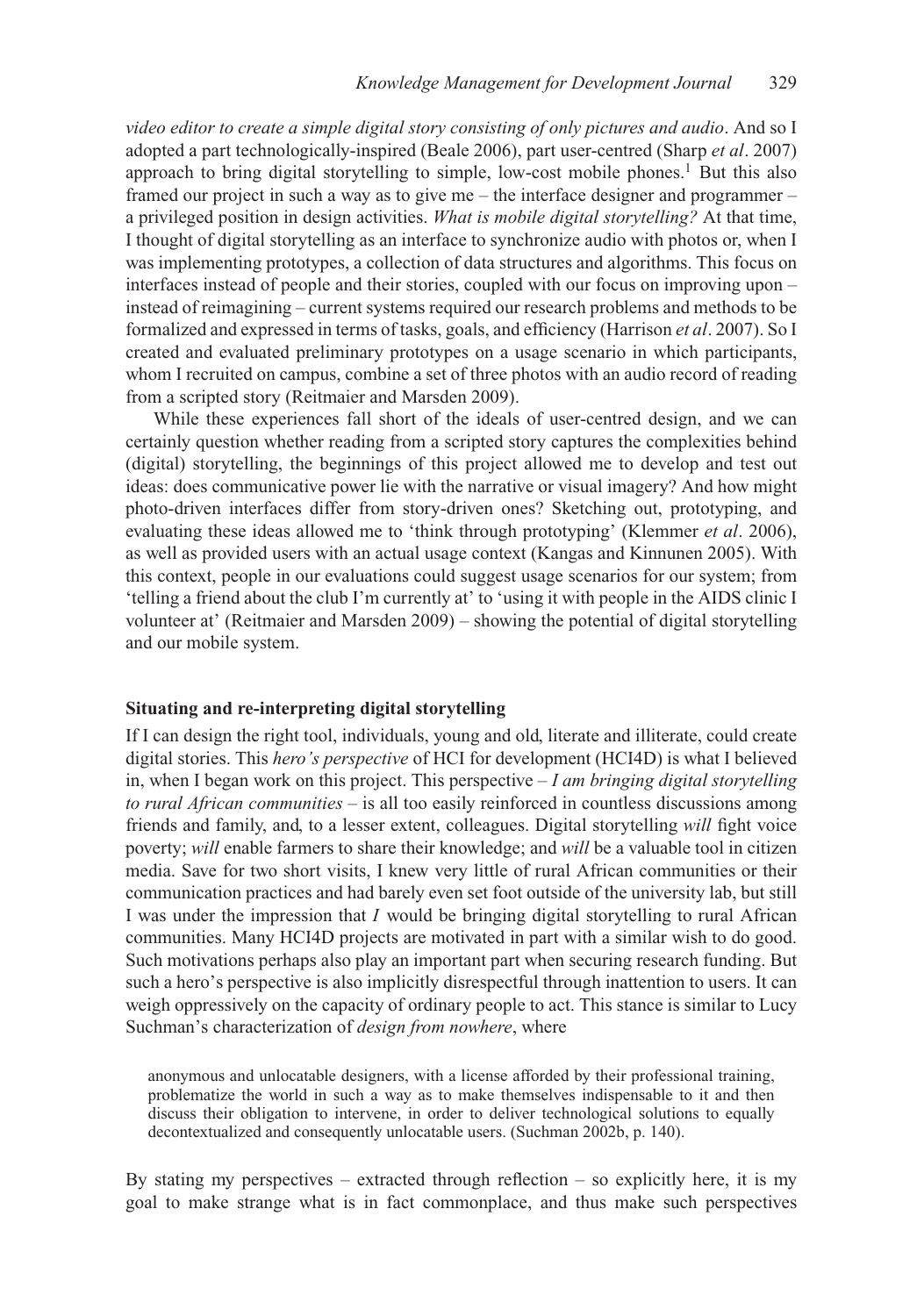*video editor to create a simple digital story consisting of only pictures and audio*. And so I adopted a part technologically-inspired (Beale 2006), part user-centred (Sharp *et al*. 2007) approach to bring digital storytelling to simple, low-cost mobile phones.<sup>1</sup> But this also framed our project in such a way as to give me – the interface designer and programmer – a privileged position in design activities. *What is mobile digital storytelling?* At that time, I thought of digital storytelling as an interface to synchronize audio with photos or, when I was implementing prototypes, a collection of data structures and algorithms. This focus on interfaces instead of people and their stories, coupled with our focus on improving upon – instead of reimagining – current systems required our research problems and methods to be formalized and expressed in terms of tasks, goals, and efficiency (Harrison *et al*. 2007). So I created and evaluated preliminary prototypes on a usage scenario in which participants, whom I recruited on campus, combine a set of three photos with an audio record of reading from a scripted story (Reitmaier and Marsden 2009).

While these experiences fall short of the ideals of user-centred design, and we can certainly question whether reading from a scripted story captures the complexities behind (digital) storytelling, the beginnings of this project allowed me to develop and test out ideas: does communicative power lie with the narrative or visual imagery? And how might photo-driven interfaces differ from story-driven ones? Sketching out, prototyping, and evaluating these ideas allowed me to 'think through prototyping' (Klemmer *et al*. 2006), as well as provided users with an actual usage context (Kangas and Kinnunen 2005). With this context, people in our evaluations could suggest usage scenarios for our system; from 'telling a friend about the club I'm currently at' to 'using it with people in the AIDS clinic I volunteer at' (Reitmaier and Marsden 2009) – showing the potential of digital storytelling and our mobile system.

#### **Situating and re-interpreting digital storytelling**

If I can design the right tool, individuals, young and old, literate and illiterate, could create digital stories. This *hero's perspective* of HCI for development (HCI4D) is what I believed in, when I began work on this project. This perspective – *I am bringing digital storytelling to rural African communities* – is all too easily reinforced in countless discussions among friends and family, and, to a lesser extent, colleagues. Digital storytelling *will* fight voice poverty; *will* enable farmers to share their knowledge; and *will* be a valuable tool in citizen media. Save for two short visits, I knew very little of rural African communities or their communication practices and had barely even set foot outside of the university lab, but still I was under the impression that *I* would be bringing digital storytelling to rural African communities. Many HCI4D projects are motivated in part with a similar wish to do good. Such motivations perhaps also play an important part when securing research funding. But such a hero's perspective is also implicitly disrespectful through inattention to users. It can weigh oppressively on the capacity of ordinary people to act. This stance is similar to Lucy Suchman's characterization of *design from nowhere*, where

anonymous and unlocatable designers, with a license afforded by their professional training, problematize the world in such a way as to make themselves indispensable to it and then discuss their obligation to intervene, in order to deliver technological solutions to equally decontextualized and consequently unlocatable users. (Suchman 2002b, p. 140).

By stating my perspectives – extracted through reflection – so explicitly here, it is my goal to make strange what is in fact commonplace, and thus make such perspectives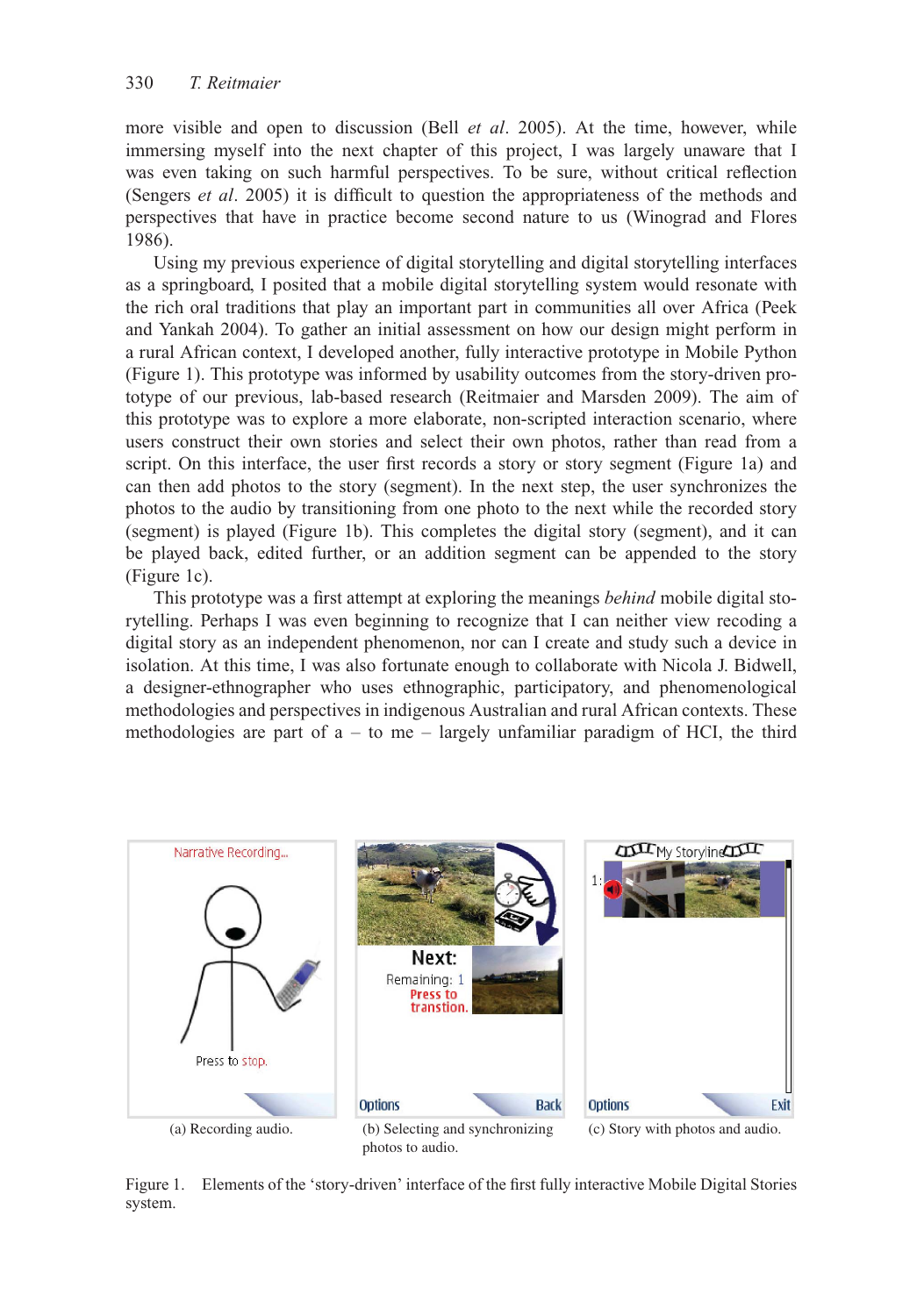more visible and open to discussion (Bell *et al*. 2005). At the time, however, while immersing myself into the next chapter of this project, I was largely unaware that I was even taking on such harmful perspectives. To be sure, without critical reflection (Sengers *et al*. 2005) it is difficult to question the appropriateness of the methods and perspectives that have in practice become second nature to us (Winograd and Flores 1986).

Using my previous experience of digital storytelling and digital storytelling interfaces as a springboard, I posited that a mobile digital storytelling system would resonate with the rich oral traditions that play an important part in communities all over Africa (Peek and Yankah 2004). To gather an initial assessment on how our design might perform in a rural African context, I developed another, fully interactive prototype in Mobile Python (Figure 1). This prototype was informed by usability outcomes from the story-driven prototype of our previous, lab-based research (Reitmaier and Marsden 2009). The aim of this prototype was to explore a more elaborate, non-scripted interaction scenario, where users construct their own stories and select their own photos, rather than read from a script. On this interface, the user first records a story or story segment (Figure 1a) and can then add photos to the story (segment). In the next step, the user synchronizes the photos to the audio by transitioning from one photo to the next while the recorded story (segment) is played (Figure 1b). This completes the digital story (segment), and it can be played back, edited further, or an addition segment can be appended to the story (Figure 1c).

This prototype was a first attempt at exploring the meanings *behind* mobile digital storytelling. Perhaps I was even beginning to recognize that I can neither view recoding a digital story as an independent phenomenon, nor can I create and study such a device in isolation. At this time, I was also fortunate enough to collaborate with Nicola J. Bidwell, a designer-ethnographer who uses ethnographic, participatory, and phenomenological methodologies and perspectives in indigenous Australian and rural African contexts. These methodologies are part of  $a - to$  me – largely unfamiliar paradigm of HCI, the third



Figure 1. Elements of the 'story-driven' interface of the first fully interactive Mobile Digital Stories system.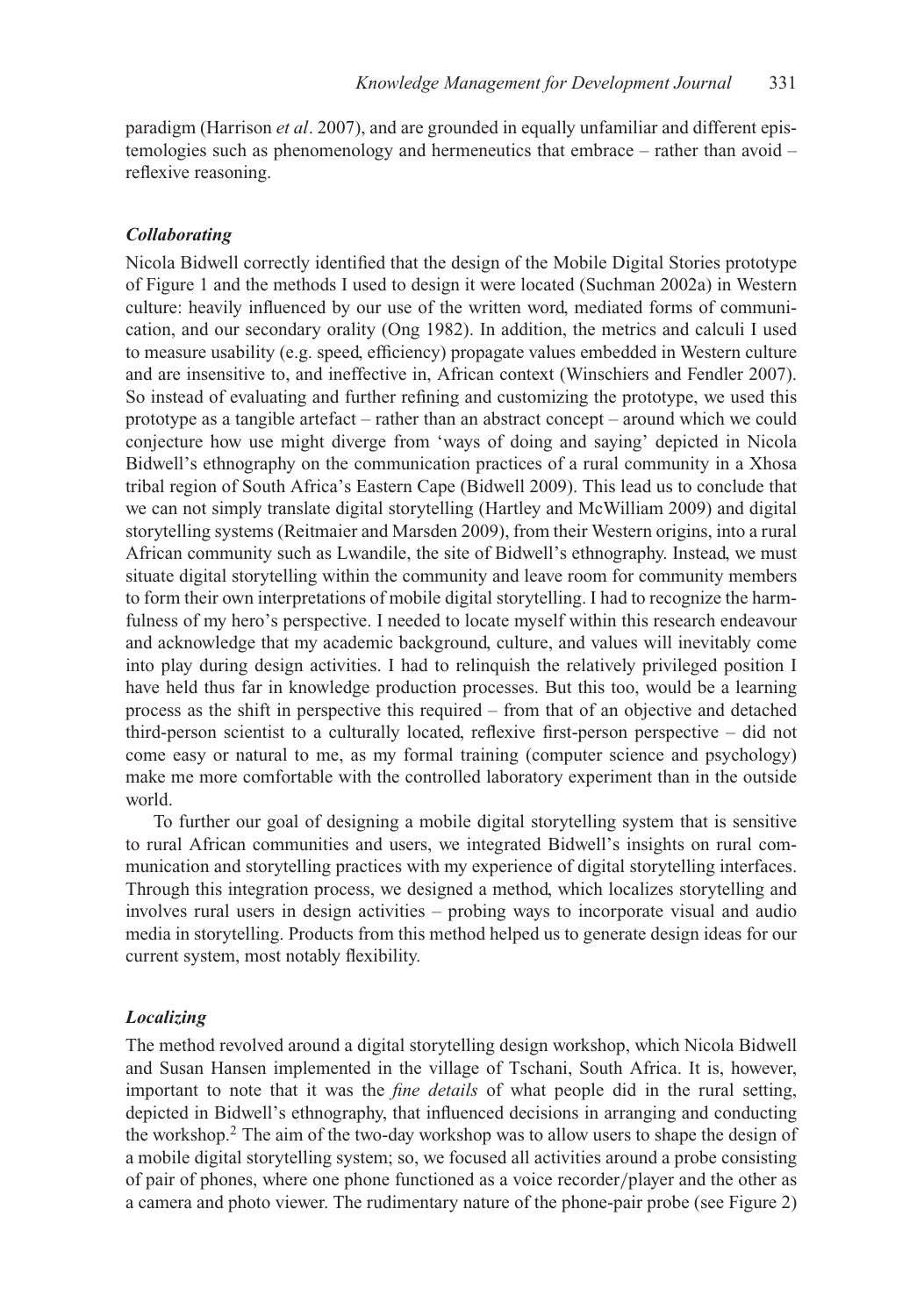paradigm (Harrison *et al*. 2007), and are grounded in equally unfamiliar and different epistemologies such as phenomenology and hermeneutics that embrace – rather than avoid – reflexive reasoning.

### *Collaborating*

Nicola Bidwell correctly identified that the design of the Mobile Digital Stories prototype of Figure 1 and the methods I used to design it were located (Suchman 2002a) in Western culture: heavily influenced by our use of the written word, mediated forms of communication, and our secondary orality (Ong 1982). In addition, the metrics and calculi I used to measure usability (e.g. speed, efficiency) propagate values embedded in Western culture and are insensitive to, and ineffective in, African context (Winschiers and Fendler 2007). So instead of evaluating and further refining and customizing the prototype, we used this prototype as a tangible artefact – rather than an abstract concept – around which we could conjecture how use might diverge from 'ways of doing and saying' depicted in Nicola Bidwell's ethnography on the communication practices of a rural community in a Xhosa tribal region of South Africa's Eastern Cape (Bidwell 2009). This lead us to conclude that we can not simply translate digital storytelling (Hartley and McWilliam 2009) and digital storytelling systems (Reitmaier and Marsden 2009), from their Western origins, into a rural African community such as Lwandile, the site of Bidwell's ethnography. Instead, we must situate digital storytelling within the community and leave room for community members to form their own interpretations of mobile digital storytelling. I had to recognize the harmfulness of my hero's perspective. I needed to locate myself within this research endeavour and acknowledge that my academic background, culture, and values will inevitably come into play during design activities. I had to relinquish the relatively privileged position I have held thus far in knowledge production processes. But this too, would be a learning process as the shift in perspective this required – from that of an objective and detached third-person scientist to a culturally located, reflexive first-person perspective – did not come easy or natural to me, as my formal training (computer science and psychology) make me more comfortable with the controlled laboratory experiment than in the outside world.

To further our goal of designing a mobile digital storytelling system that is sensitive to rural African communities and users, we integrated Bidwell's insights on rural communication and storytelling practices with my experience of digital storytelling interfaces. Through this integration process, we designed a method, which localizes storytelling and involves rural users in design activities – probing ways to incorporate visual and audio media in storytelling. Products from this method helped us to generate design ideas for our current system, most notably flexibility.

### *Localizing*

The method revolved around a digital storytelling design workshop, which Nicola Bidwell and Susan Hansen implemented in the village of Tschani, South Africa. It is, however, important to note that it was the *fine details* of what people did in the rural setting, depicted in Bidwell's ethnography, that influenced decisions in arranging and conducting the workshop.<sup>2</sup> The aim of the two-day workshop was to allow users to shape the design of a mobile digital storytelling system; so, we focused all activities around a probe consisting of pair of phones, where one phone functioned as a voice recorder*/*player and the other as a camera and photo viewer. The rudimentary nature of the phone-pair probe (see Figure 2)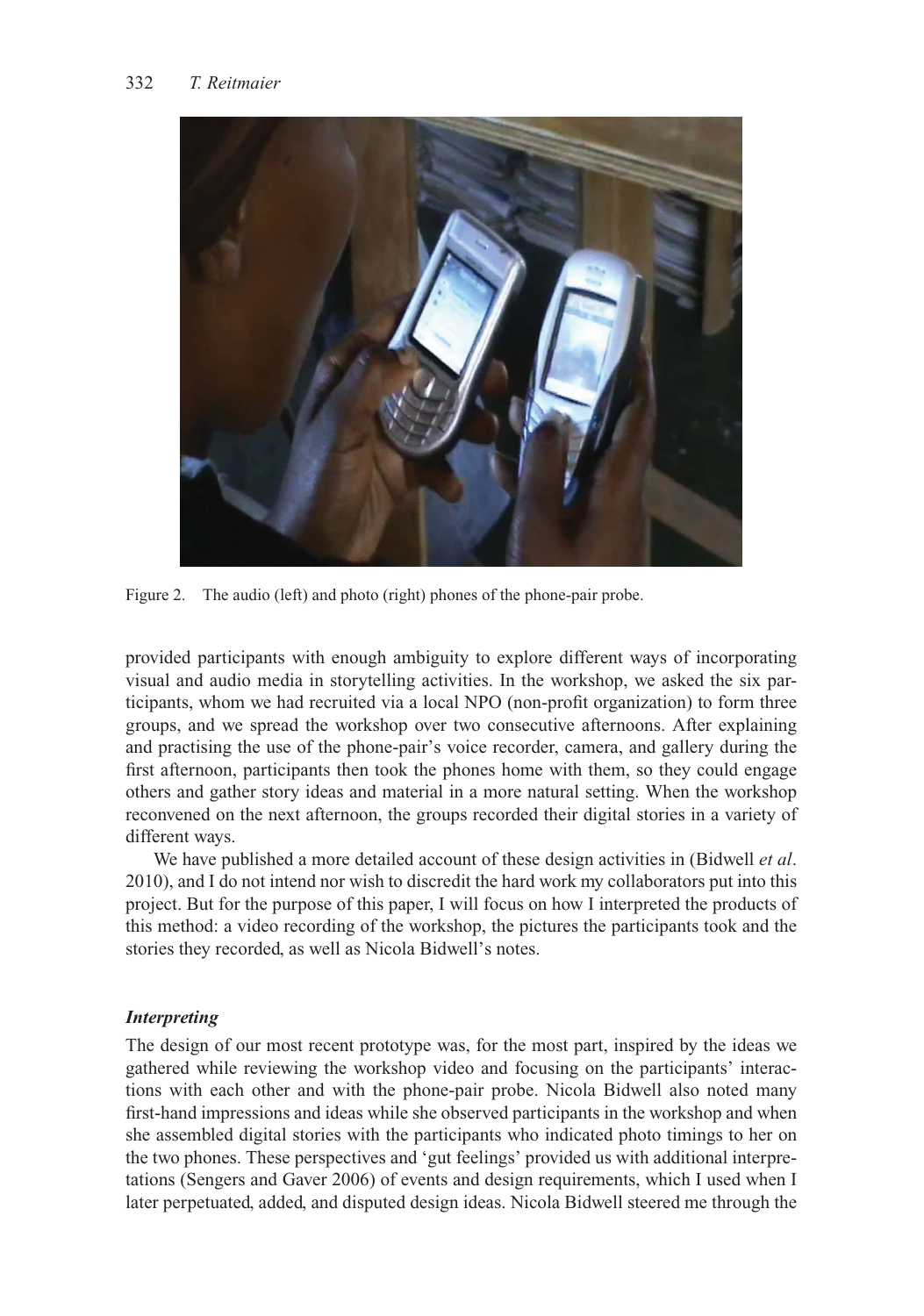

Figure 2. The audio (left) and photo (right) phones of the phone-pair probe.

provided participants with enough ambiguity to explore different ways of incorporating visual and audio media in storytelling activities. In the workshop, we asked the six participants, whom we had recruited via a local NPO (non-profit organization) to form three groups, and we spread the workshop over two consecutive afternoons. After explaining and practising the use of the phone-pair's voice recorder, camera, and gallery during the first afternoon, participants then took the phones home with them, so they could engage others and gather story ideas and material in a more natural setting. When the workshop reconvened on the next afternoon, the groups recorded their digital stories in a variety of different ways.

We have published a more detailed account of these design activities in (Bidwell *et al*. 2010), and I do not intend nor wish to discredit the hard work my collaborators put into this project. But for the purpose of this paper, I will focus on how I interpreted the products of this method: a video recording of the workshop, the pictures the participants took and the stories they recorded, as well as Nicola Bidwell's notes.

## *Interpreting*

The design of our most recent prototype was, for the most part, inspired by the ideas we gathered while reviewing the workshop video and focusing on the participants' interactions with each other and with the phone-pair probe. Nicola Bidwell also noted many first-hand impressions and ideas while she observed participants in the workshop and when she assembled digital stories with the participants who indicated photo timings to her on the two phones. These perspectives and 'gut feelings' provided us with additional interpretations (Sengers and Gaver 2006) of events and design requirements, which I used when I later perpetuated, added, and disputed design ideas. Nicola Bidwell steered me through the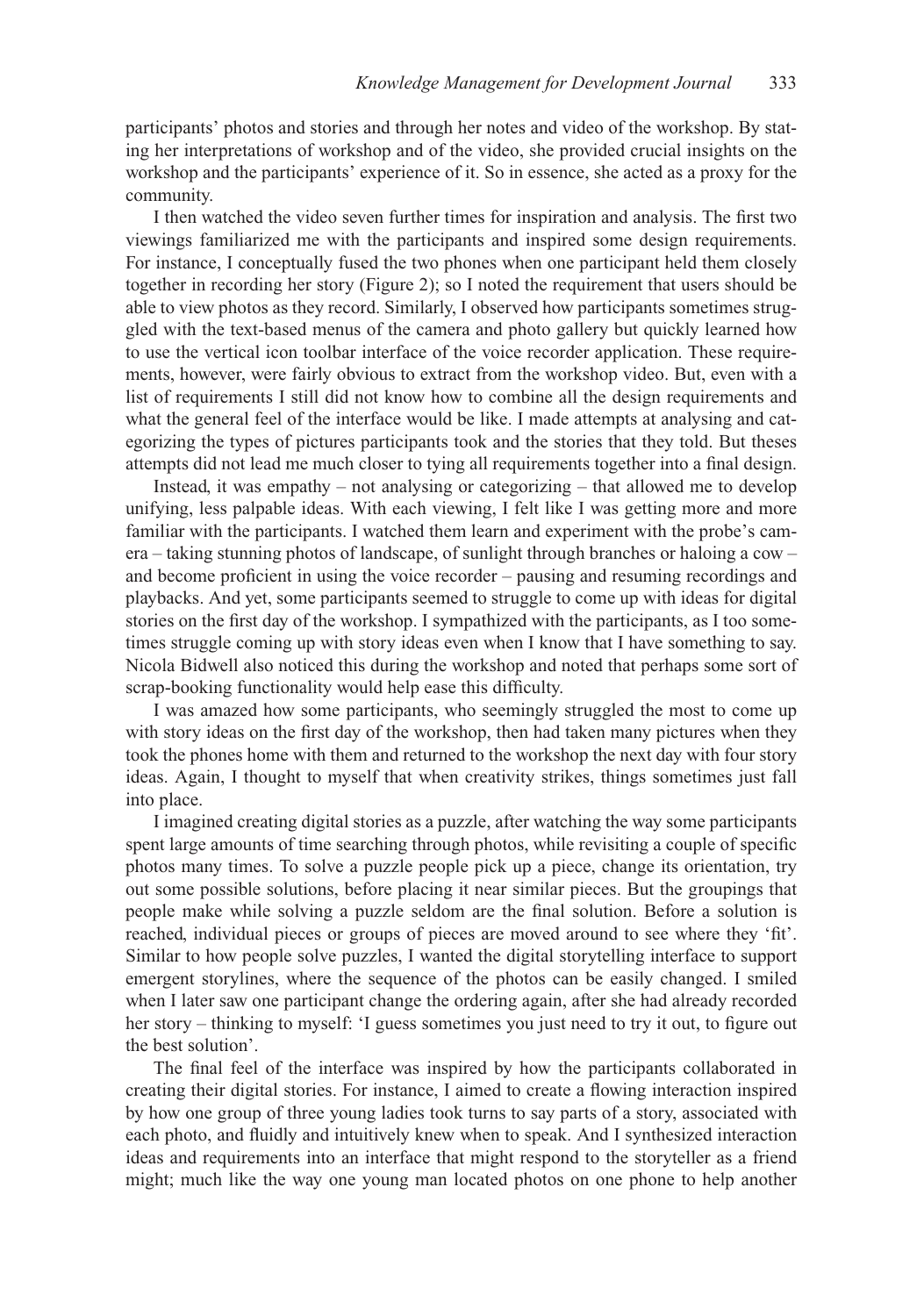participants' photos and stories and through her notes and video of the workshop. By stating her interpretations of workshop and of the video, she provided crucial insights on the workshop and the participants' experience of it. So in essence, she acted as a proxy for the community.

I then watched the video seven further times for inspiration and analysis. The first two viewings familiarized me with the participants and inspired some design requirements. For instance, I conceptually fused the two phones when one participant held them closely together in recording her story (Figure 2); so I noted the requirement that users should be able to view photos as they record. Similarly, I observed how participants sometimes struggled with the text-based menus of the camera and photo gallery but quickly learned how to use the vertical icon toolbar interface of the voice recorder application. These requirements, however, were fairly obvious to extract from the workshop video. But, even with a list of requirements I still did not know how to combine all the design requirements and what the general feel of the interface would be like. I made attempts at analysing and categorizing the types of pictures participants took and the stories that they told. But theses attempts did not lead me much closer to tying all requirements together into a final design.

Instead, it was empathy – not analysing or categorizing – that allowed me to develop unifying, less palpable ideas. With each viewing, I felt like I was getting more and more familiar with the participants. I watched them learn and experiment with the probe's camera – taking stunning photos of landscape, of sunlight through branches or haloing a cow – and become proficient in using the voice recorder – pausing and resuming recordings and playbacks. And yet, some participants seemed to struggle to come up with ideas for digital stories on the first day of the workshop. I sympathized with the participants, as I too sometimes struggle coming up with story ideas even when I know that I have something to say. Nicola Bidwell also noticed this during the workshop and noted that perhaps some sort of scrap-booking functionality would help ease this difficulty.

I was amazed how some participants, who seemingly struggled the most to come up with story ideas on the first day of the workshop, then had taken many pictures when they took the phones home with them and returned to the workshop the next day with four story ideas. Again, I thought to myself that when creativity strikes, things sometimes just fall into place.

I imagined creating digital stories as a puzzle, after watching the way some participants spent large amounts of time searching through photos, while revisiting a couple of specific photos many times. To solve a puzzle people pick up a piece, change its orientation, try out some possible solutions, before placing it near similar pieces. But the groupings that people make while solving a puzzle seldom are the final solution. Before a solution is reached, individual pieces or groups of pieces are moved around to see where they 'fit'. Similar to how people solve puzzles, I wanted the digital storytelling interface to support emergent storylines, where the sequence of the photos can be easily changed. I smiled when I later saw one participant change the ordering again, after she had already recorded her story – thinking to myself: 'I guess sometimes you just need to try it out, to figure out the best solution'.

The final feel of the interface was inspired by how the participants collaborated in creating their digital stories. For instance, I aimed to create a flowing interaction inspired by how one group of three young ladies took turns to say parts of a story, associated with each photo, and fluidly and intuitively knew when to speak. And I synthesized interaction ideas and requirements into an interface that might respond to the storyteller as a friend might; much like the way one young man located photos on one phone to help another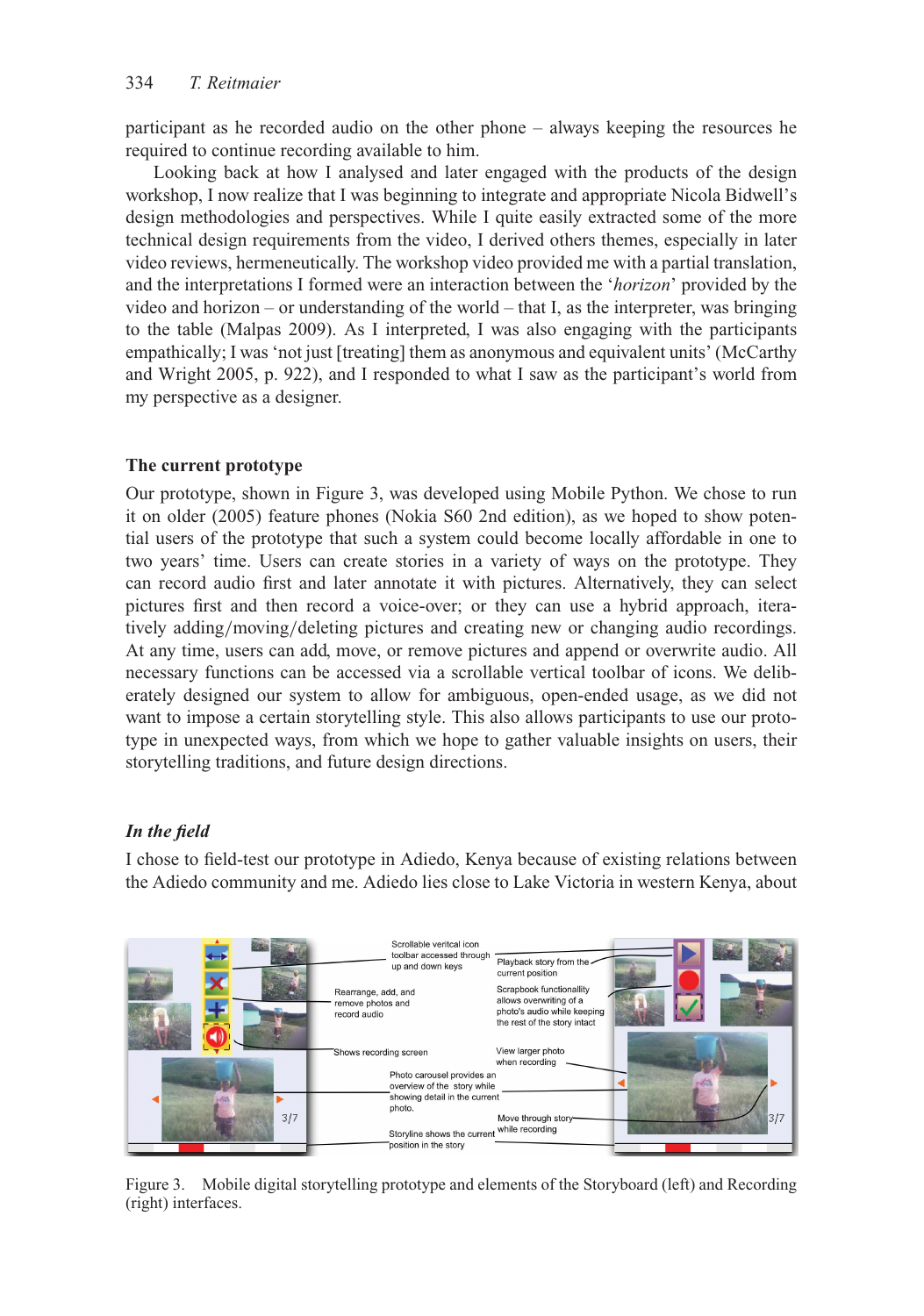participant as he recorded audio on the other phone – always keeping the resources he required to continue recording available to him.

Looking back at how I analysed and later engaged with the products of the design workshop, I now realize that I was beginning to integrate and appropriate Nicola Bidwell's design methodologies and perspectives. While I quite easily extracted some of the more technical design requirements from the video, I derived others themes, especially in later video reviews, hermeneutically. The workshop video provided me with a partial translation, and the interpretations I formed were an interaction between the '*horizon*' provided by the video and horizon – or understanding of the world – that I, as the interpreter, was bringing to the table (Malpas 2009). As I interpreted, I was also engaging with the participants empathically; I was 'not just [treating] them as anonymous and equivalent units' (McCarthy and Wright 2005, p. 922), and I responded to what I saw as the participant's world from my perspective as a designer.

## **The current prototype**

Our prototype, shown in Figure 3, was developed using Mobile Python. We chose to run it on older (2005) feature phones (Nokia S60 2nd edition), as we hoped to show potential users of the prototype that such a system could become locally affordable in one to two years' time. Users can create stories in a variety of ways on the prototype. They can record audio first and later annotate it with pictures. Alternatively, they can select pictures first and then record a voice-over; or they can use a hybrid approach, iteratively adding*/*moving*/*deleting pictures and creating new or changing audio recordings. At any time, users can add, move, or remove pictures and append or overwrite audio. All necessary functions can be accessed via a scrollable vertical toolbar of icons. We deliberately designed our system to allow for ambiguous, open-ended usage, as we did not want to impose a certain storytelling style. This also allows participants to use our prototype in unexpected ways, from which we hope to gather valuable insights on users, their storytelling traditions, and future design directions.

## *In the field*

I chose to field-test our prototype in Adiedo, Kenya because of existing relations between the Adiedo community and me. Adiedo lies close to Lake Victoria in western Kenya, about



Figure 3. Mobile digital storytelling prototype and elements of the Storyboard (left) and Recording (right) interfaces.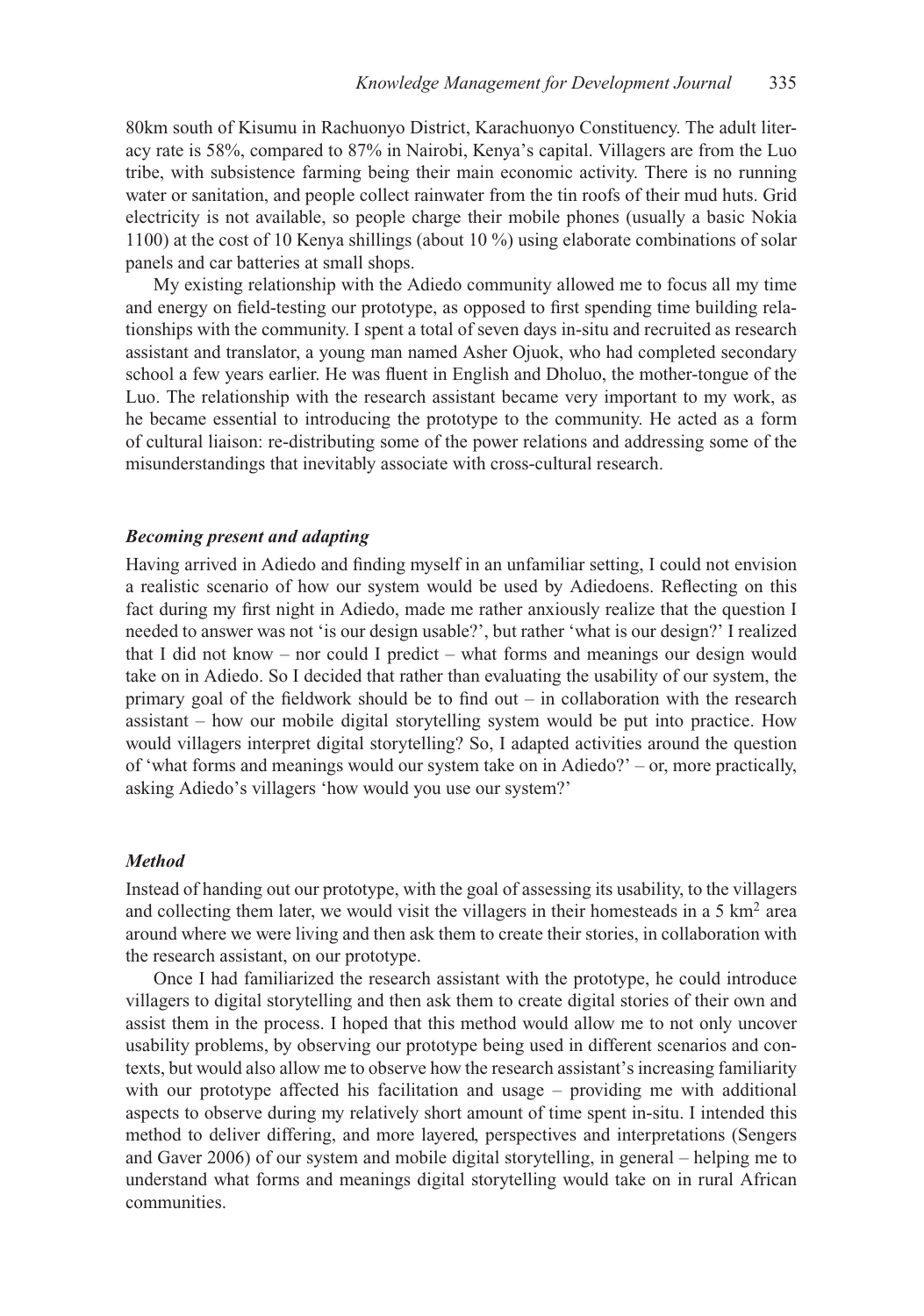80km south of Kisumu in Rachuonyo District, Karachuonyo Constituency. The adult literacy rate is 58%, compared to 87% in Nairobi, Kenya's capital. Villagers are from the Luo tribe, with subsistence farming being their main economic activity. There is no running water or sanitation, and people collect rainwater from the tin roofs of their mud huts. Grid electricity is not available, so people charge their mobile phones (usually a basic Nokia 1100) at the cost of 10 Kenya shillings (about 10 %) using elaborate combinations of solar panels and car batteries at small shops.

My existing relationship with the Adiedo community allowed me to focus all my time and energy on field-testing our prototype, as opposed to first spending time building relationships with the community. I spent a total of seven days in-situ and recruited as research assistant and translator, a young man named Asher Ojuok, who had completed secondary school a few years earlier. He was fluent in English and Dholuo, the mother-tongue of the Luo. The relationship with the research assistant became very important to my work, as he became essential to introducing the prototype to the community. He acted as a form of cultural liaison: re-distributing some of the power relations and addressing some of the misunderstandings that inevitably associate with cross-cultural research.

### *Becoming present and adapting*

Having arrived in Adiedo and finding myself in an unfamiliar setting, I could not envision a realistic scenario of how our system would be used by Adiedoens. Reflecting on this fact during my first night in Adiedo, made me rather anxiously realize that the question I needed to answer was not 'is our design usable?', but rather 'what is our design?' I realized that I did not know – nor could I predict – what forms and meanings our design would take on in Adiedo. So I decided that rather than evaluating the usability of our system, the primary goal of the fieldwork should be to find out – in collaboration with the research assistant – how our mobile digital storytelling system would be put into practice. How would villagers interpret digital storytelling? So, I adapted activities around the question of 'what forms and meanings would our system take on in Adiedo?' – or, more practically, asking Adiedo's villagers 'how would you use our system?'

### *Method*

Instead of handing out our prototype, with the goal of assessing its usability, to the villagers and collecting them later, we would visit the villagers in their homesteads in a 5  $km<sup>2</sup>$  area around where we were living and then ask them to create their stories, in collaboration with the research assistant, on our prototype.

Once I had familiarized the research assistant with the prototype, he could introduce villagers to digital storytelling and then ask them to create digital stories of their own and assist them in the process. I hoped that this method would allow me to not only uncover usability problems, by observing our prototype being used in different scenarios and contexts, but would also allow me to observe how the research assistant's increasing familiarity with our prototype affected his facilitation and usage – providing me with additional aspects to observe during my relatively short amount of time spent in-situ. I intended this method to deliver differing, and more layered, perspectives and interpretations (Sengers and Gaver 2006) of our system and mobile digital storytelling, in general – helping me to understand what forms and meanings digital storytelling would take on in rural African communities.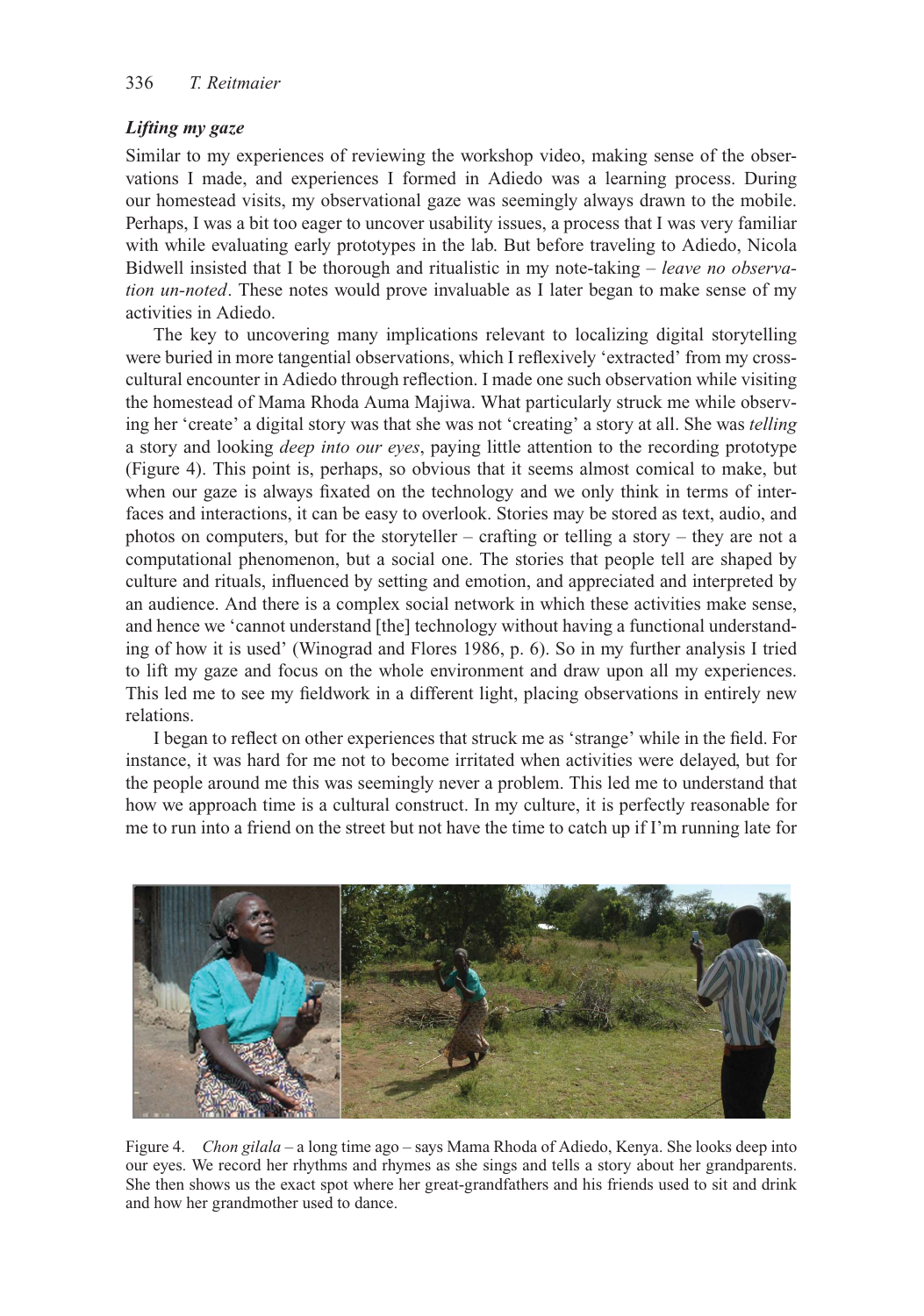## *Lifting my gaze*

Similar to my experiences of reviewing the workshop video, making sense of the observations I made, and experiences I formed in Adiedo was a learning process. During our homestead visits, my observational gaze was seemingly always drawn to the mobile. Perhaps, I was a bit too eager to uncover usability issues, a process that I was very familiar with while evaluating early prototypes in the lab. But before traveling to Adiedo, Nicola Bidwell insisted that I be thorough and ritualistic in my note-taking – *leave no observation un-noted*. These notes would prove invaluable as I later began to make sense of my activities in Adiedo.

The key to uncovering many implications relevant to localizing digital storytelling were buried in more tangential observations, which I reflexively 'extracted' from my crosscultural encounter in Adiedo through reflection. I made one such observation while visiting the homestead of Mama Rhoda Auma Majiwa. What particularly struck me while observing her 'create' a digital story was that she was not 'creating' a story at all. She was *telling* a story and looking *deep into our eyes*, paying little attention to the recording prototype (Figure 4). This point is, perhaps, so obvious that it seems almost comical to make, but when our gaze is always fixated on the technology and we only think in terms of interfaces and interactions, it can be easy to overlook. Stories may be stored as text, audio, and photos on computers, but for the storyteller – crafting or telling a story – they are not a computational phenomenon, but a social one. The stories that people tell are shaped by culture and rituals, influenced by setting and emotion, and appreciated and interpreted by an audience. And there is a complex social network in which these activities make sense, and hence we 'cannot understand [the] technology without having a functional understanding of how it is used' (Winograd and Flores 1986, p. 6). So in my further analysis I tried to lift my gaze and focus on the whole environment and draw upon all my experiences. This led me to see my fieldwork in a different light, placing observations in entirely new relations.

I began to reflect on other experiences that struck me as 'strange' while in the field. For instance, it was hard for me not to become irritated when activities were delayed, but for the people around me this was seemingly never a problem. This led me to understand that how we approach time is a cultural construct. In my culture, it is perfectly reasonable for me to run into a friend on the street but not have the time to catch up if I'm running late for



Figure 4. *Chon gilala* – a long time ago – says Mama Rhoda of Adiedo, Kenya. She looks deep into our eyes. We record her rhythms and rhymes as she sings and tells a story about her grandparents. She then shows us the exact spot where her great-grandfathers and his friends used to sit and drink and how her grandmother used to dance.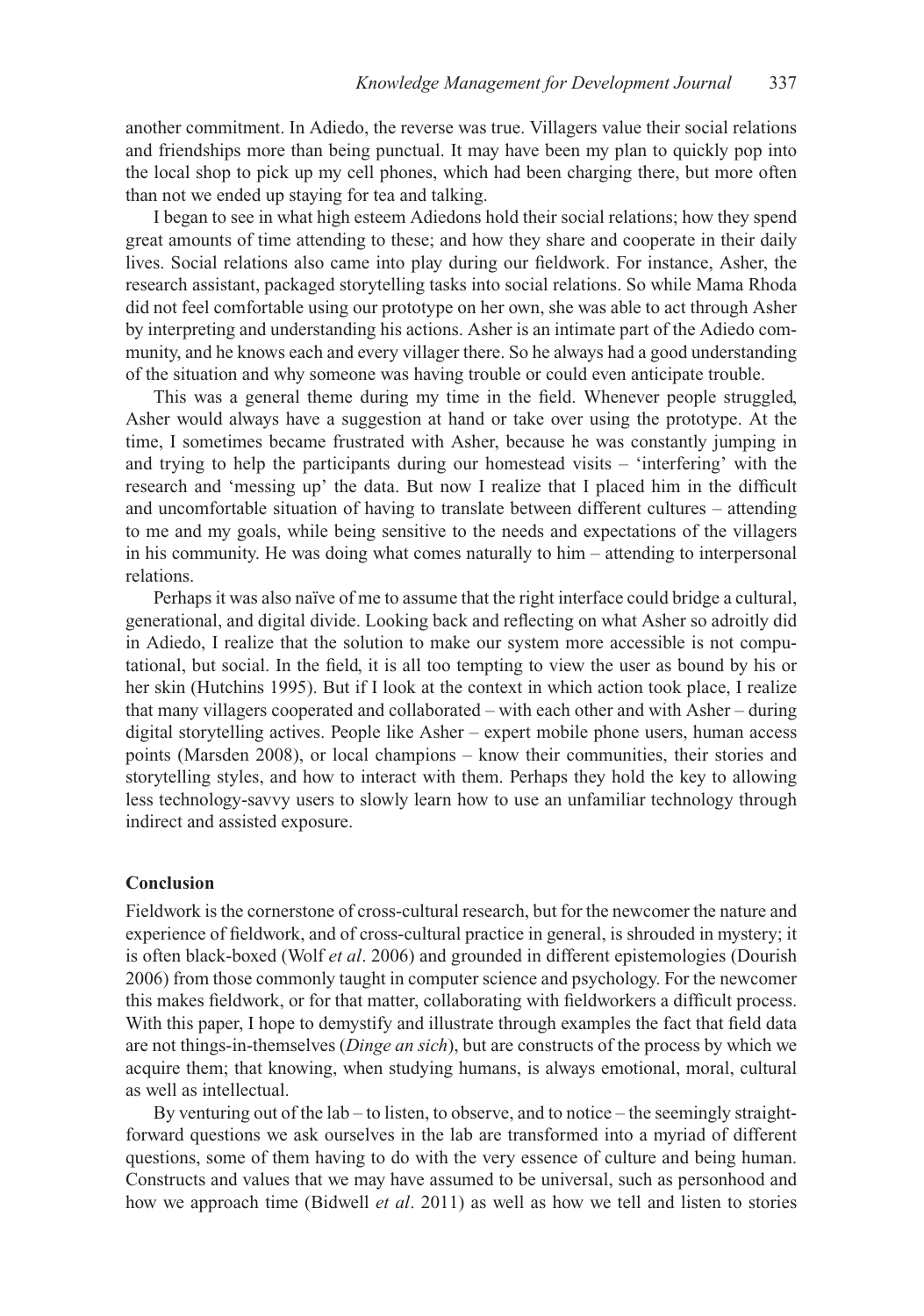another commitment. In Adiedo, the reverse was true. Villagers value their social relations and friendships more than being punctual. It may have been my plan to quickly pop into the local shop to pick up my cell phones, which had been charging there, but more often than not we ended up staying for tea and talking.

I began to see in what high esteem Adiedons hold their social relations; how they spend great amounts of time attending to these; and how they share and cooperate in their daily lives. Social relations also came into play during our fieldwork. For instance, Asher, the research assistant, packaged storytelling tasks into social relations. So while Mama Rhoda did not feel comfortable using our prototype on her own, she was able to act through Asher by interpreting and understanding his actions. Asher is an intimate part of the Adiedo community, and he knows each and every villager there. So he always had a good understanding of the situation and why someone was having trouble or could even anticipate trouble.

This was a general theme during my time in the field. Whenever people struggled, Asher would always have a suggestion at hand or take over using the prototype. At the time, I sometimes became frustrated with Asher, because he was constantly jumping in and trying to help the participants during our homestead visits – 'interfering' with the research and 'messing up' the data. But now I realize that I placed him in the difficult and uncomfortable situation of having to translate between different cultures – attending to me and my goals, while being sensitive to the needs and expectations of the villagers in his community. He was doing what comes naturally to him – attending to interpersonal relations.

Perhaps it was also naïve of me to assume that the right interface could bridge a cultural, generational, and digital divide. Looking back and reflecting on what Asher so adroitly did in Adiedo, I realize that the solution to make our system more accessible is not computational, but social. In the field, it is all too tempting to view the user as bound by his or her skin (Hutchins 1995). But if I look at the context in which action took place, I realize that many villagers cooperated and collaborated – with each other and with Asher – during digital storytelling actives. People like Asher – expert mobile phone users, human access points (Marsden 2008), or local champions – know their communities, their stories and storytelling styles, and how to interact with them. Perhaps they hold the key to allowing less technology-savvy users to slowly learn how to use an unfamiliar technology through indirect and assisted exposure.

### **Conclusion**

Fieldwork is the cornerstone of cross-cultural research, but for the newcomer the nature and experience of fieldwork, and of cross-cultural practice in general, is shrouded in mystery; it is often black-boxed (Wolf *et al*. 2006) and grounded in different epistemologies (Dourish 2006) from those commonly taught in computer science and psychology. For the newcomer this makes fieldwork, or for that matter, collaborating with fieldworkers a difficult process. With this paper, I hope to demystify and illustrate through examples the fact that field data are not things-in-themselves (*Dinge an sich*), but are constructs of the process by which we acquire them; that knowing, when studying humans, is always emotional, moral, cultural as well as intellectual.

By venturing out of the lab – to listen, to observe, and to notice – the seemingly straightforward questions we ask ourselves in the lab are transformed into a myriad of different questions, some of them having to do with the very essence of culture and being human. Constructs and values that we may have assumed to be universal, such as personhood and how we approach time (Bidwell *et al*. 2011) as well as how we tell and listen to stories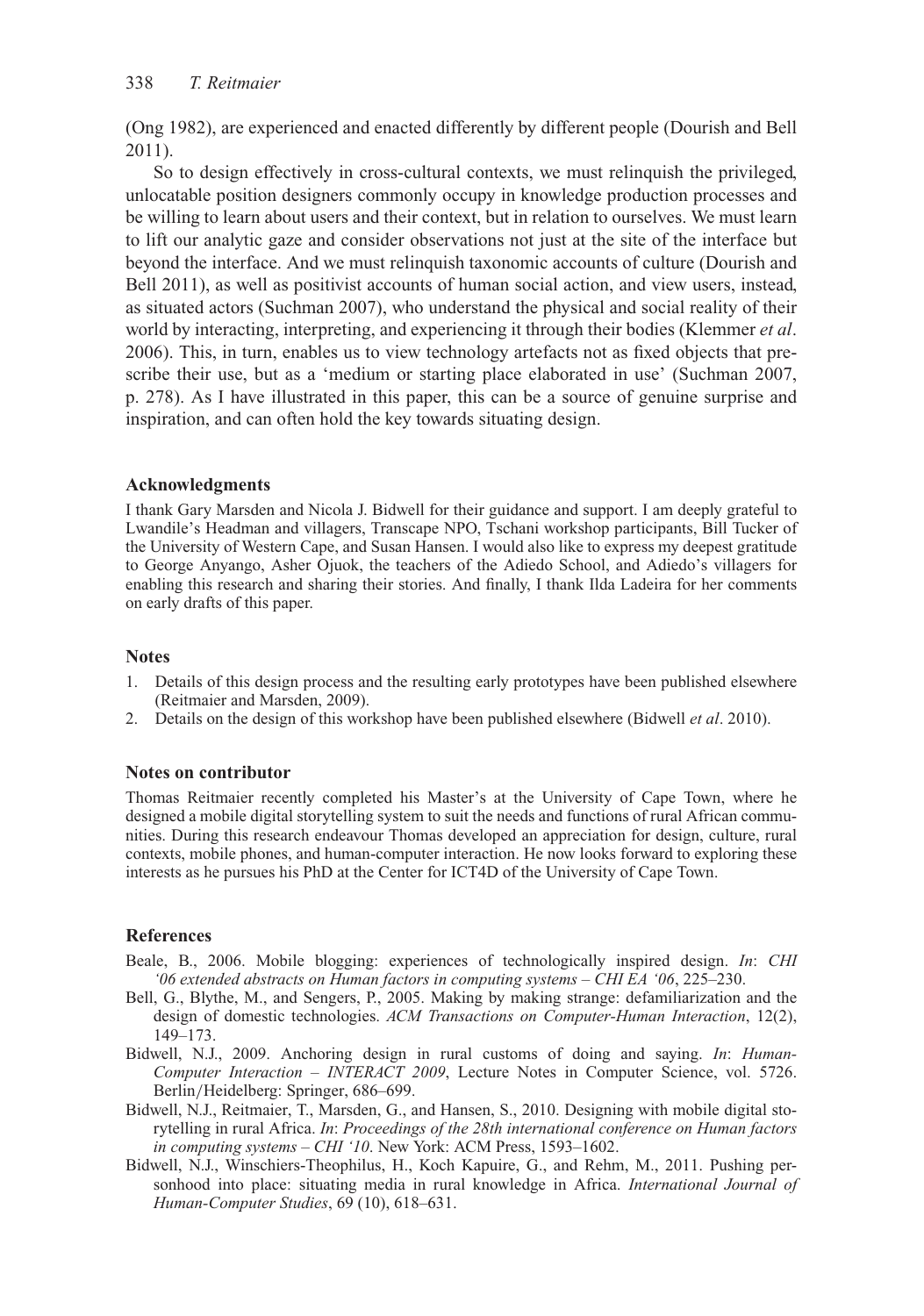(Ong 1982), are experienced and enacted differently by different people (Dourish and Bell 2011).

So to design effectively in cross-cultural contexts, we must relinquish the privileged, unlocatable position designers commonly occupy in knowledge production processes and be willing to learn about users and their context, but in relation to ourselves. We must learn to lift our analytic gaze and consider observations not just at the site of the interface but beyond the interface. And we must relinquish taxonomic accounts of culture (Dourish and Bell 2011), as well as positivist accounts of human social action, and view users, instead, as situated actors (Suchman 2007), who understand the physical and social reality of their world by interacting, interpreting, and experiencing it through their bodies (Klemmer *et al*. 2006). This, in turn, enables us to view technology artefacts not as fixed objects that prescribe their use, but as a 'medium or starting place elaborated in use' (Suchman 2007, p. 278). As I have illustrated in this paper, this can be a source of genuine surprise and inspiration, and can often hold the key towards situating design.

### **Acknowledgments**

I thank Gary Marsden and Nicola J. Bidwell for their guidance and support. I am deeply grateful to Lwandile's Headman and villagers, Transcape NPO, Tschani workshop participants, Bill Tucker of the University of Western Cape, and Susan Hansen. I would also like to express my deepest gratitude to George Anyango, Asher Ojuok, the teachers of the Adiedo School, and Adiedo's villagers for enabling this research and sharing their stories. And finally, I thank Ilda Ladeira for her comments on early drafts of this paper.

### **Notes**

- 1. Details of this design process and the resulting early prototypes have been published elsewhere (Reitmaier and Marsden, 2009).
- 2. Details on the design of this workshop have been published elsewhere (Bidwell *et al*. 2010).

### **Notes on contributor**

Thomas Reitmaier recently completed his Master's at the University of Cape Town, where he designed a mobile digital storytelling system to suit the needs and functions of rural African communities. During this research endeavour Thomas developed an appreciation for design, culture, rural contexts, mobile phones, and human-computer interaction. He now looks forward to exploring these interests as he pursues his PhD at the Center for ICT4D of the University of Cape Town.

### **References**

- Beale, B., 2006. Mobile blogging: experiences of technologically inspired design. *In*: *CHI '06 extended abstracts on Human factors in computing systems – CHI EA '06*, 225–230.
- Bell, G., Blythe, M., and Sengers, P., 2005. Making by making strange: defamiliarization and the design of domestic technologies. *ACM Transactions on Computer-Human Interaction*, 12(2), 149–173.
- Bidwell, N.J., 2009. Anchoring design in rural customs of doing and saying. *In*: *Human-Computer Interaction – INTERACT 2009*, Lecture Notes in Computer Science, vol. 5726. Berlin*/*Heidelberg: Springer, 686–699.
- Bidwell, N.J., Reitmaier, T., Marsden, G., and Hansen, S., 2010. Designing with mobile digital storytelling in rural Africa. *In*: *Proceedings of the 28th international conference on Human factors in computing systems – CHI '10*. New York: ACM Press, 1593–1602.
- Bidwell, N.J., Winschiers-Theophilus, H., Koch Kapuire, G., and Rehm, M., 2011. Pushing personhood into place: situating media in rural knowledge in Africa. *International Journal of Human-Computer Studies*, 69 (10), 618–631.